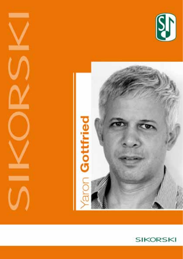





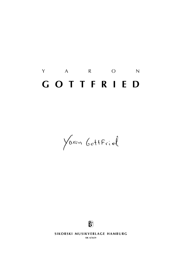# Y A R O N **g o t t f r i e d**

Yoran GottFriel



**SIKORSKI MUSIKVERLAGE HAMBURG** 

**sik 4/5659**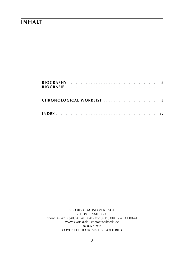### **inhalt**

sikorski Musikverlage 20139 hamburg phone: (+ 49) (0)40 / 41 41 00-0 · fax: (+ 49) (0)40 / 41 41 00-41 www.sikorski.de · contact@sikorski.de **30 j u n e 2019** cover photo © archiv gottfried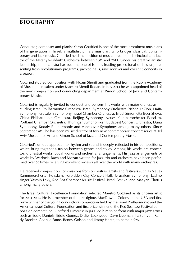# **biography**

Conductor, composer and pianist Yaron Gottfried is one of the most prominent musicians of his generation in Israel, a multidisciplinary musician, who bridges classical, contemporary and jazz music. Gottfried held the position of music director and principal conductor of the Netanya-Kibbutz Orchestra between 2002 and 2013. Under his creative artistic leadership, the orchestra has become one of Israel's leading professional orchestras, presenting fresh revolutionary programs, packed halls, rave reviews and over 120 concerts in a season.

Gottfried studied composition with Noam Sheriff and graduated from the Rubin Academy of Music in Jerusalem under Maestro Mendi Rodan. In July 2013 he was appointed head of the new composition and conducting department at Rimon School of Jazz and Contemporary Music.

Gottfried is regularly invited to conduct and perform his works with major orchestras including Israel Philharmonic Orchestra, Israel Symphony Orchestra Rishon LeZion, Haifa Symphony, Jerusalem Symphony, Israel Chamber Orchestra, Israel Sinfonietta Beer-Sheva, China Philharmonic Orchestra, Beijing Symphony, Neues Kammerorchester Potsdam, Portland Chamber Orchestra, Thüringer Symphoniker, Budapest Concert Orchestra, Duna Symphony, Kodaly Philharmonic and Vancouver Symphony among many others. Since September 2013 he has been music director of two new contemporary concert series at Tel Aviv Museum of Art and Rimon School of Jazz and Contemporary Music.

Gottfried's unique approach to rhythm and sound is deeply reflected in his compositions, which bring together a fusion between genres and styles. Among his works are concertos, orchestral works, vocal works and orchestral arrangements. His jazz arrangements of works by Warlock, Bach and Mozart written for jazz trio and orchestra have been performed over 50 times receiving excellent reviews all over the world with many orchestras.

He received composition commissions from orchestras, artists and festivals such as Neues Kammerorchester Potsdam, Forbidden City Concert Hall, Jerusalem Symphony, Ladino singer Yasmin Levy, Red Sea Chamber Music Festival, Israel Festival and Maayan Chorus among many others.

The Israel Cultural Excellence Foundation selected Maestro Gottfried as its chosen artist for 2003-2006. He is a member of the prestigious MacDowell Colony in the USA and first prize winner of the young conductors competition held by the Israel Philharmonic and the America-Israel Cultural Foundation and first prize winner of the Red Sea Jazz Festival composition competition. Gottfried's interest in jazz led him to perform with major jazz artists such as Eddie Daniels, Eddie Gomez, Didier Lockwood, Dave Liebman, Ira Sullivan, Randy Brecker, Georgie Fame, Benny Golson and Jimmy Heath, to name a few.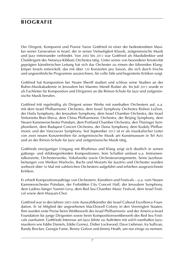# **biografie**

Der Dirigent, Komponist und Pianist Yaron Gottfried ist einer der bedeutendsten Musiker seiner Generation in Israel, der in seiner Vielseitigkeit Klassik, zeitgenössische Musik und Jazz miteinander verbindet. Von 2002 bis 2013 war Gottfried als Musikdirektor und Chefdirigent des Netanya-Kibbutz Orchestra tätig. Unter seiner von besonderer Kreativität geprägten künstlerischen Leitung hat sich das Orchester zu einem der führenden Klangkörper Israels entwickelt, das mit über 120 Konzerten pro Saison, die sich durch frische und ungewöhnliche Programme auszeichnen, für volle Säle und begeisterte Kritiken sorgt.

Gottfried hat Komposition bei Noam Sheriff studiert und schloss seine Studien an der Rubin-Musikakademie in Jerusalem bei Maestro Mendi Rodan ab. Im Juli 2013 wurde er als Fachleiter für Komposition und Dirigieren an die Rimon-Schule für Jazz und zeitgenössische Musik berufen.

Gottfried tritt regelmäßig als Dirigent seiner Werke mit namhaften Orchestern auf, u.a. mit dem Israel Philharmonic Orchestra, dem Israel Symphony Orchestra Rishon LeZion, der Haifa Symphony, der Jerusalem Symphony, dem Israel Chamber Orchestra, der Israel Sinfonietta Beer-Sheva, dem China Philharmonic Orchestra, der Beijing Symphony, dem Neuen Kammerorchester Potsdam, dem Portland Chamber Orchestra, den Thüringer Symphonikern, dem Budapest Concert Orchestra, der Duna Symphony, dem Kodaly Philharmonic und der Vancouver Symphony. Seit September 2013 ist er als musikalischer Leiter von zwei neuen Konzertreihen für zeitgenössische Musik am Kunstmuseum in Tel Aviv und an der Rimon-Schule für Jazz und zeitgenössische Musik tätig.

Gottfrieds einzigartiger Umgang mit Rhythmus und Klang zeigt sich deutlich in seinen gattungs- und stilübergreifenden Kompositionen. Sein Schaffen umfasst u.a. Instrumentalkonzerte, Orchesterwerke, Vokalwerke sowie Orchesterarrangements. Seine Jazzbearbeitungen von Werken Warlocks, Bachs und Mozarts für Jazztrio und Orchester wurden weltweit über 50 Mal mit zahlreichen Orchestern aufgeführt und erhielten ausgezeichnete Kritiken.

Er erhielt Kompositionsaufträge von Orchestern, Künstlern und Festivals – u.a. vom Neuen Kammerorchester Potsdam, der Forbidden City Concert Hall, der Jerusalem Symphony, dem Ladino-Sänger Yasmin Levy, dem Red Sea Chamber Music Festival, dem Israel Festival sowie dem Maayan-Chor.

Gottfried war in den Jahren 2003-2006 Auswahlkünstler der Israel Cultural Excellence Foundation. Er ist Mitglied der angesehenen MacDowell Colony in den Vereinigten Staaten. Ihm wurden erste Preise beim Wettbewerb des Israel Philharmonic und der America-Israel Foundation für junge Dirigenten sowie beim Kompositionswettbewerb des Red Sea Festivals zuerkannt. Gottfrieds Interesse am Jazz führte zu Auftritten mit solch namhaften Jazzmusikern wie Eddie Daniels, Eddie Gomez, Didier Lockwood, Dave Liebman, Ira Sullivan, Randy Brecker, Georgie Fame, Benny Golson und Jimmy Heath, um nur einige zu nennen.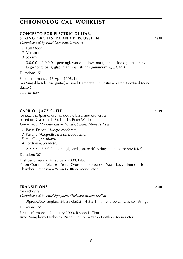### **concerto for electric guitar, string orchestra and percussion 1998**

*Commissioned by Israel Camerata Orchestra*

- *1*. Full Moon
- *2*. Miniature
- *3*. Stormy

 $0.0.0.0 - 0.0.0.0 -$  perc (tgl, wood bl, low tom-t, tamb, side dr, bass dr, cym, large gong, bells, glsp, marimba). strings (minimum: 6/6/4/4/2)

Duration: 15'

First performance: 18 April 1998, Israel Avi Singolda (electric guitar) – Israel Camerata Orchestra – Yaron Gottfried (conductor)

*score:* **sik 1897**

### **capriol jazz suite 1999**

for jazz trio (piano, drums, double bass) and orchestra based on Capriol Suite by Peter Warlock *Commissioned by Eilat International Chamber Music Festival*

- *1*. Basse-Dance *(Allegro moderato)*
- *2*. Pavane *(Allegretto, ma un poco lento)*
- *3*. Air *(Tempo rubato)*
- *4*. Tordion *(Con moto)*

 $2.2.2.2 - 2.2.0.0 -$  perc (tgl, tamb, snare dr). strings (minimum:  $8/6/4/4/2$ )

Duration: 30'

First performance: 4 February 2000, Eilat Yaron Gottfried (piano) – Yorai Oron (double bass) – Yaaki Levy (drums) – Israel Chamber Orchestra – Yaron Gottfried (conductor)

### **transitions 2000**

for orchestra *Commissioned by Israel Symphony Orchestra Rishon LeZion*

 $3(pice).3(cor$  anglais). $3(bass$ clar). $2 - 4.3.3.1 - timp.3$  perc. harp. cel. strings

Duration: 15'

First performance: 2 January 2000, Rishon LeZion

Israel Symphony Orchestra Rishon LeZion – Yaron Gottfried (conductor)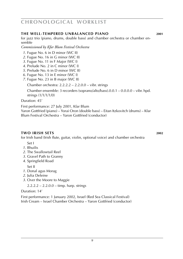#### **the well-tempered unbalanced piano 2001**

for jazz trio (piano, drums, double bass) and chamber orchestra or chamber ensemble

*Commissioned by Kfar Blum Festival Orchestra*

- *1*. Fugue No. 6 in D minor (WC II)
- *2*. Fugue No. 16 in G minor (WC II)
- *3*. Fugue No. 11 in F Major (WC I)
- *4*. Prelude No. 2 in C minor (WC I)
- *5*. Prelude No. 6 in D minor (WC II)
- *6*. Fugue No. 13 in E minor (WC I)
- *7*. Fugue No. 23 in B major (WC II)

Chamber orchestra: 2.2.2.2 – 2.2.0.0 – vibr. strings

Chamber ensemble: 3 recorders (soprano/alto/bass).0.0.1 – 0.0.0.0 – vibr. hpd. strings (1/1/1/1/0)

Duration: 45'

First performance: 27 July 2001, Kfar Blum Yaron Gottfried (piano) – Yorai Oron (double bass) – Eitan Itzkovitch (drums) – Kfar Blum Festival Orchestra – Yaron Gottfried (conductor)

#### **two irish sets 2002**

for Irish band (Irish flute, guitar, violin, optional voice) and chamber orchestra

- Set I
- *1*. Bhuilis
- *2*. The Swallowtail Reel
- *3*. Gravel Path to Granny
- *4*. Springfield Road

Set II

- *1*. Donal agus Morag
- *2*. Julia Deleine
- *3*. Over the Moore to Maggie

2.2.2.2 – 2.2.0.0 – timp. harp. strings

Duration: 14'

First performance: 1 January 2002, Israel (Red Sea Classical Festival) Irish Cream – Israel Chamber Orchestra – Yaron Gottfried (conductor)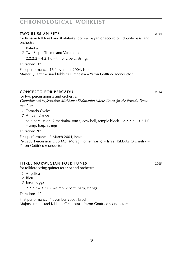#### **two russian sets 2004**

for Russian folklore band (balalaika, domra, bayan or accordion, double bass) and orchestra

- *1*. Kalinka
- *2*. Two Step Theme and Variations

2.2.2.2 – 4.2.1.0 – timp. 2 perc. strings

Duration: 10'

First performance: 16 November 2004, Israel Master Quartet – Israel Kibbutz Orchestra – Yaron Gottfried (conductor)

### **Concerto for Percadu 2004**

for two percussionists and orchestra

*Commissioned by Jerusalem Mishkanot Sha'ananim Music Center for the Percadu Percussion Duo*

- *1*. Tornado Cycles
- *2*. African Dance

solo percussion: 2 marimba, tom-t, cow bell, temple block  $-2.2.2.2 - 3.2.1.0$ – timp. harp. strings

Duration: 20'

First performance: 3 March 2004, Israel Percadu Percussion Duo (Adi Morag, Tomer Yariv) – Israel Kibbutz Orchestra –

Yaron Gottfried (conductor)

#### **three norwegian folk tunes 2005**

for folklore string quintet (or trio) and orchestra

- *1*. Angelica
- *2*. Bleu
- *3*. Jorun Jogga

2.2.2.2 – 3.2.0.0 – timp, 2 perc, harp, strings

Duration: 11'

First performance: November 2005, Israel Majorstuen – Israel Kibbutz Orchestra – Yaron Gottfried (conductor)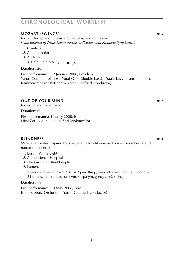#### **mozart 'swings' 2005**

for jazz trio (piano, drums, double bass) and orchestra *Commissioned by Neues Kammerorchester Potsdam and Ra'anana Symphonette*

- *1*. Overture
- *2*. Allegro molto
- *3*. Andante

 $2.2.2.2 - 2.2.0.0 -$  vibr. strings

Duration: 20'

First performance: 12 January 2006, Potsdam Yaron Gottfried (piano) – Yorai Oron (double bass) – Yaaki Levy (drums) – Neues Kammerorchester Potsdam – Yaron Gottfried (conductor)

### **OUT OF YOUR MIND** 2007

for violin and violoncello

Duration: 6'

First performance: January 2008, Israel Nitai Zori (violin) – Hiilel Zori (violoncello)

#### **blindness 2008**

Musical episodes inspired by José Saramago's like-named novel for orchestra and narrator (optional)

- *1*. Lost in White Light
- *2*. At the Mental Hospital
- *3*. The Group of Blind People
- *4*. Lament

 $2.2$ (cor anglais). $2.2 - 2.2.3.1 - 2$  perc (timp, wind chimes, cow bell, wood bl,

2 bongos, side dr, bass dr, cym, susp.cym, gong, vibr). strings

Duration: 19'

First performance: 10 May 2008, Israel Israel Kibbutz Orchestra – Yaron Gottfried (conductor)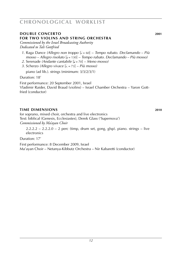### **DOUBLE CONCERTO** 2001 **for two violins and string orchestra**

*Commissioned by the Israel Broadcasting Authority Dedicated to Tali Gottfried*

- *1*. Raga Dance *(Allegro non troppo* [h = 60] *Tempo rubato. Declamando Più mosso – Allegro risoluto* [q = 130] – *Tempo rubato. Declamando – Più mosso)*
- *2*. Serenade *(Andante cantabile* [q = 70] *Meno mosso)*
- *3*. Scherzo *(Allegro vivace* [ $\ell$ ] = 73] *Più mosso*)

piano (ad lib.). strings (minimum: 3/3/2/3/1)

Duration: 18'

First performance: 20 September 2001, Israel Vladimir Raider, David Braud (violins) – Israel Chamber Orchestra – Yaron Gottfried (conductor)

### **TIME DIMENSIONS 2010**

for soprano, mixed choir, orchestra and live electronics Text: biblical (Genesis, Ecclesiastes), Derek Glass ('Supernova') *Commissioned by Ma'ayan Choir*

 $2.2.2.2 - 2.2.2.0 - 2$  perc (timp, drum set, gong, glsp). piano. strings – live electronics

Duration: 17'

First performance: 8 December 2009, Israel Ma'ayan Choir – Netanya-Kibbutz Orchestra – Nir Kabaretti (conductor)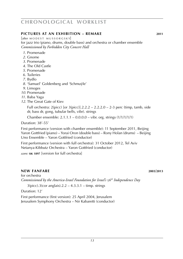### **pictures at an exhibition – remake 2011**

 $[after MODEST MUSSORGSKY]$ for jazz trio (piano, drums, double bass) and orchestra or chamber ensemble *Commissioned by Forbidden City Concert Hall*

- *1*. Promenade
- *2*. Gnome
- *3*. Promenade
- *4*. The Old Castle
- *5*. Promenade
- *6*. Tuileries
- *7*. Bydlo
- *8*. 'Samuel' Goldenberg and 'Schmuÿle'
- *9*. Limoges
- *10*. Promenade
- *11*. Baba Yaga
- *12*. The Great Gate of Kiev

Full orchestra:  $2$ (picc) [or  $3$ (picc)].2.2.2 – 2.2.2.0 – 2-3 perc (timp, tamb, side dr, bass dr, gong, tubular bells, vibr). strings

Chamber ensemble: 2.1.1.1 – 0.0.0.0 – vibr. org. strings (1/1/1/1/1)

Duration: 38'-55'

First performance (version with chamber ensemble): 11 September 2011, Beijing Yaron Gottfried (piano) – Yorai Oron (double bass) – Rony Holan (drums) – Beijing Uno Ensemble – Yaron Gottfried (conductor)

First performance (version with full orchestra): 31 October 2012, Tel Aviv Netanya-Kibbutz Orchestra – Yaron Gottfried (conductor)

*score:* **sik 1897** [version for full orchestra]

#### **new fanfare 2003**/**2013**

for orchestra *Commissioned by the America-Israel Foundation for Israel's* 56*th Independence Day*

 $3(pice).3(cor \text{ anglais}).2.2 - 4.3.3.1 - timp. strings$ 

Duration: 12'

First performance (first version): 25 April 2004, Jerusalem Jerusalem Symphony Orchestra – Nir Kabaretti (conductor)